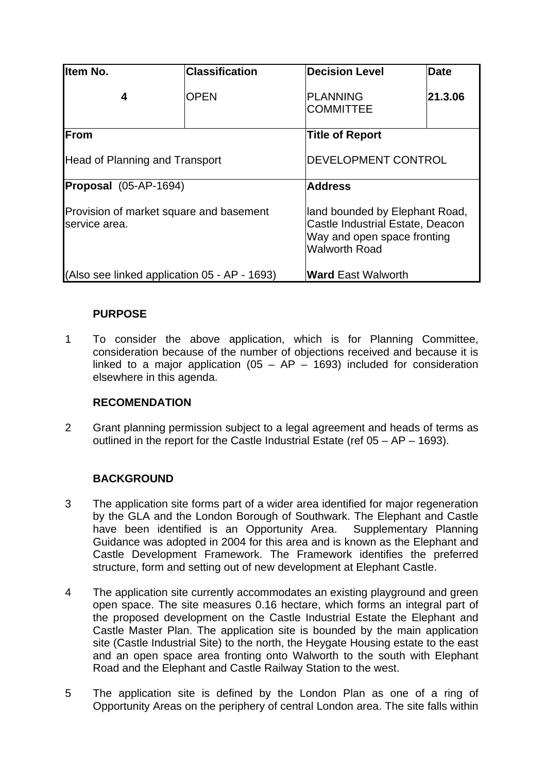| lltem No.                                                | <b>Classification</b> | <b>Decision Level</b>               | <b>Date</b>                                                                                       |  |
|----------------------------------------------------------|-----------------------|-------------------------------------|---------------------------------------------------------------------------------------------------|--|
| 4                                                        | <b>OPEN</b>           | <b>PLANNING</b><br><b>COMMITTEE</b> | 21.3.06                                                                                           |  |
| From                                                     |                       | <b>Title of Report</b>              |                                                                                                   |  |
| <b>Head of Planning and Transport</b>                    |                       |                                     | DEVELOPMENT CONTROL                                                                               |  |
| Proposal (05-AP-1694)                                    |                       | <b>Address</b>                      |                                                                                                   |  |
| Provision of market square and basement<br>service area. |                       | <b>Walworth Road</b>                | land bounded by Elephant Road,<br>Castle Industrial Estate, Deacon<br>Way and open space fronting |  |
| (Also see linked application 05 - AP - 1693)             |                       |                                     | <b>Ward East Walworth</b>                                                                         |  |

# **PURPOSE**

1 To consider the above application, which is for Planning Committee, consideration because of the number of objections received and because it is linked to a major application ( $05 - AP - 1693$ ) included for consideration elsewhere in this agenda.

# **RECOMENDATION**

2 Grant planning permission subject to a legal agreement and heads of terms as outlined in the report for the Castle Industrial Estate (ref 05 – AP – 1693).

# **BACKGROUND**

- 3 The application site forms part of a wider area identified for major regeneration by the GLA and the London Borough of Southwark. The Elephant and Castle have been identified is an Opportunity Area. Supplementary Planning Guidance was adopted in 2004 for this area and is known as the Elephant and Castle Development Framework. The Framework identifies the preferred structure, form and setting out of new development at Elephant Castle.
- 4 The application site currently accommodates an existing playground and green open space. The site measures 0.16 hectare, which forms an integral part of the proposed development on the Castle Industrial Estate the Elephant and Castle Master Plan. The application site is bounded by the main application site (Castle Industrial Site) to the north, the Heygate Housing estate to the east and an open space area fronting onto Walworth to the south with Elephant Road and the Elephant and Castle Railway Station to the west.
- 5 The application site is defined by the London Plan as one of a ring of Opportunity Areas on the periphery of central London area. The site falls within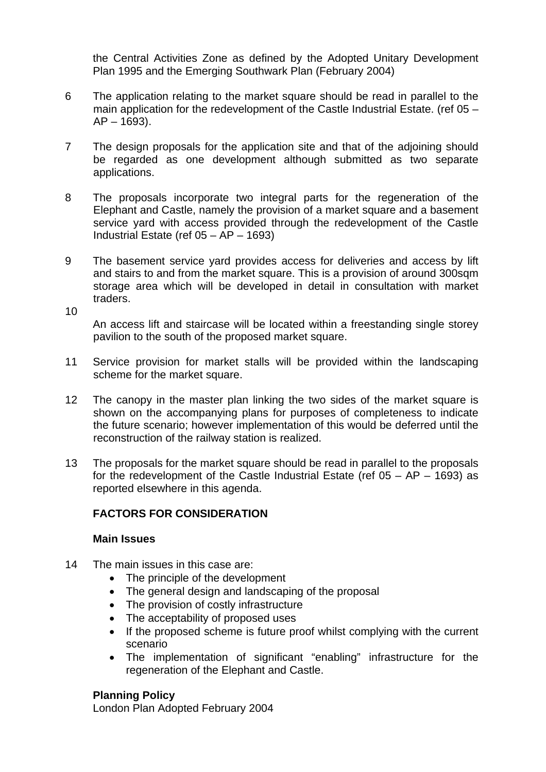the Central Activities Zone as defined by the Adopted Unitary Development Plan 1995 and the Emerging Southwark Plan (February 2004)

- 6 The application relating to the market square should be read in parallel to the main application for the redevelopment of the Castle Industrial Estate. (ref 05 –  $AP - 1693$ ).
- 7 The design proposals for the application site and that of the adjoining should be regarded as one development although submitted as two separate applications.
- 8 The proposals incorporate two integral parts for the regeneration of the Elephant and Castle, namely the provision of a market square and a basement service yard with access provided through the redevelopment of the Castle Industrial Estate (ref 05 – AP – 1693)
- 9 The basement service yard provides access for deliveries and access by lift and stairs to and from the market square. This is a provision of around 300sqm storage area which will be developed in detail in consultation with market traders.

An access lift and staircase will be located within a freestanding single storey pavilion to the south of the proposed market square.

- 11 Service provision for market stalls will be provided within the landscaping scheme for the market square.
- 12 The canopy in the master plan linking the two sides of the market square is shown on the accompanying plans for purposes of completeness to indicate the future scenario; however implementation of this would be deferred until the reconstruction of the railway station is realized.
- 13 The proposals for the market square should be read in parallel to the proposals for the redevelopment of the Castle Industrial Estate (ref  $05 - AP - 1693$ ) as reported elsewhere in this agenda.

# **FACTORS FOR CONSIDERATION**

#### **Main Issues**

10

- 14 The main issues in this case are:
	- The principle of the development
	- The general design and landscaping of the proposal
	- The provision of costly infrastructure
	- The acceptability of proposed uses
	- If the proposed scheme is future proof whilst complying with the current scenario
	- The implementation of significant "enabling" infrastructure for the regeneration of the Elephant and Castle.

#### **Planning Policy**

London Plan Adopted February 2004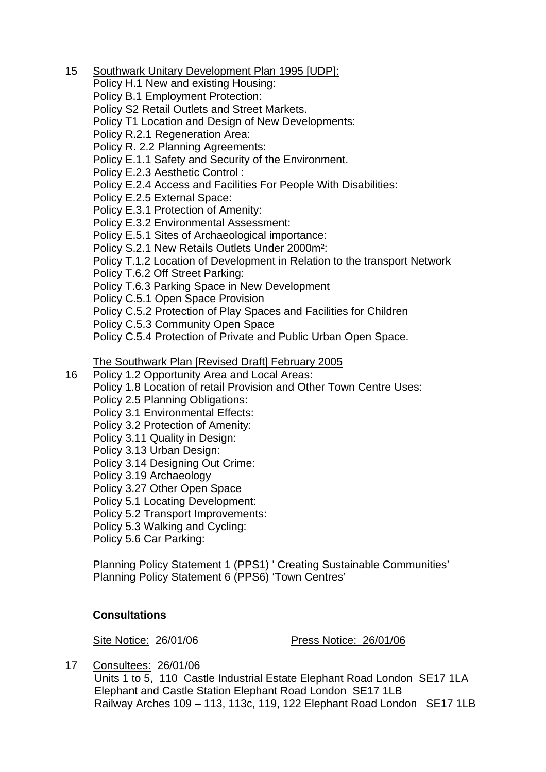15 Southwark Unitary Development Plan 1995 [UDP]:

Policy H.1 New and existing Housing:

Policy B.1 Employment Protection:

Policy S2 Retail Outlets and Street Markets.

Policy T1 Location and Design of New Developments:

Policy R.2.1 Regeneration Area:

Policy R. 2.2 Planning Agreements:

Policy E.1.1 Safety and Security of the Environment.

Policy E.2.3 Aesthetic Control :

Policy E.2.4 Access and Facilities For People With Disabilities:

Policy E.2.5 External Space:

Policy E.3.1 Protection of Amenity:

Policy E.3.2 Environmental Assessment:

Policy E.5.1 Sites of Archaeological importance:

Policy S.2.1 New Retails Outlets Under 2000m²:

Policy T.1.2 Location of Development in Relation to the transport Network

Policy T.6.2 Off Street Parking:

Policy T.6.3 Parking Space in New Development

Policy C.5.1 Open Space Provision

Policy C.5.2 Protection of Play Spaces and Facilities for Children

Policy C.5.3 Community Open Space

Policy C.5.4 Protection of Private and Public Urban Open Space.

#### The Southwark Plan [Revised Draft] February 2005

Policy 1.2 Opportunity Area and Local Areas:

- Policy 1.8 Location of retail Provision and Other Town Centre Uses:
- Policy 2.5 Planning Obligations:

Policy 3.1 Environmental Effects:

Policy 3.2 Protection of Amenity:

Policy 3.11 Quality in Design:

- Policy 3.13 Urban Design:
- Policy 3.14 Designing Out Crime:

Policy 3.19 Archaeology

16

Policy 3.27 Other Open Space

Policy 5.1 Locating Development:

Policy 5.2 Transport Improvements:

Policy 5.3 Walking and Cycling:

Policy 5.6 Car Parking:

Planning Policy Statement 1 (PPS1) ' Creating Sustainable Communities' Planning Policy Statement 6 (PPS6) 'Town Centres'

# **Consultations**

Site Notice: 26/01/06 Press Notice: 26/01/06

17 Consultees: 26/01/06

Units 1 to 5, 110 Castle Industrial Estate Elephant Road London SE17 1LA Elephant and Castle Station Elephant Road London SE17 1LB Railway Arches 109 – 113, 113c, 119, 122 Elephant Road London SE17 1LB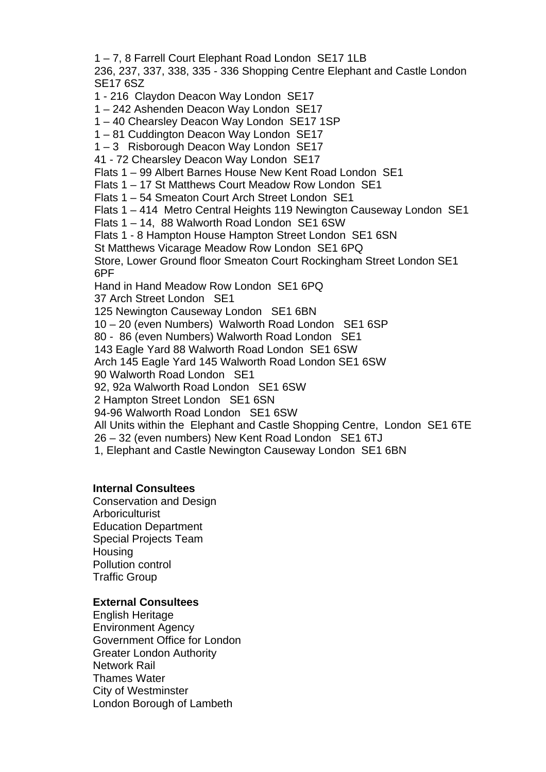1 – 7, 8 Farrell Court Elephant Road London SE17 1LB 236, 237, 337, 338, 335 - 336 Shopping Centre Elephant and Castle London SE17 6SZ

1 - 216 Claydon Deacon Way London SE17

1 – 242 Ashenden Deacon Way London SE17

1 – 40 Chearsley Deacon Way London SE17 1SP

1 – 81 Cuddington Deacon Way London SE17

1 – 3 Risborough Deacon Way London SE17

41 - 72 Chearsley Deacon Way London SE17

Flats 1 – 99 Albert Barnes House New Kent Road London SE1

Flats 1 – 17 St Matthews Court Meadow Row London SE1

Flats 1 – 54 Smeaton Court Arch Street London SE1

Flats 1 – 414 Metro Central Heights 119 Newington Causeway London SE1

Flats 1 – 14, 88 Walworth Road London SE1 6SW

Flats 1 - 8 Hampton House Hampton Street London SE1 6SN

St Matthews Vicarage Meadow Row London SE1 6PQ

Store, Lower Ground floor Smeaton Court Rockingham Street London SE1 6PF

Hand in Hand Meadow Row London SE1 6PQ

37 Arch Street London SE1

125 Newington Causeway London SE1 6BN

10 – 20 (even Numbers) Walworth Road London SE1 6SP

80 - 86 (even Numbers) Walworth Road London SE1

143 Eagle Yard 88 Walworth Road London SE1 6SW

Arch 145 Eagle Yard 145 Walworth Road London SE1 6SW

90 Walworth Road London SE1

92, 92a Walworth Road London SE1 6SW

2 Hampton Street London SE1 6SN

94-96 Walworth Road London SE1 6SW

All Units within the Elephant and Castle Shopping Centre, London SE1 6TE

26 – 32 (even numbers) New Kent Road London SE1 6TJ

1, Elephant and Castle Newington Causeway London SE1 6BN

#### **Internal Consultees**

Conservation and Design **Arboriculturist** Education Department Special Projects Team **Housing** Pollution control Traffic Group

#### **External Consultees**

English Heritage Environment Agency Government Office for London Greater London Authority Network Rail Thames Water City of Westminster London Borough of Lambeth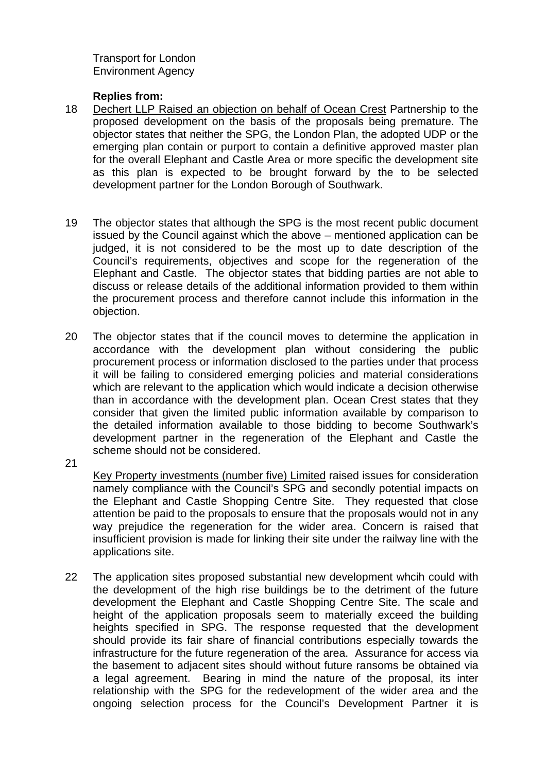Transport for London Environment Agency

#### **Replies from:**

- 18 Dechert LLP Raised an objection on behalf of Ocean Crest Partnership to the proposed development on the basis of the proposals being premature. The objector states that neither the SPG, the London Plan, the adopted UDP or the emerging plan contain or purport to contain a definitive approved master plan for the overall Elephant and Castle Area or more specific the development site as this plan is expected to be brought forward by the to be selected development partner for the London Borough of Southwark.
- 19 The objector states that although the SPG is the most recent public document issued by the Council against which the above – mentioned application can be judged, it is not considered to be the most up to date description of the Council's requirements, objectives and scope for the regeneration of the Elephant and Castle. The objector states that bidding parties are not able to discuss or release details of the additional information provided to them within the procurement process and therefore cannot include this information in the objection.
- 20 The objector states that if the council moves to determine the application in accordance with the development plan without considering the public procurement process or information disclosed to the parties under that process it will be failing to considered emerging policies and material considerations which are relevant to the application which would indicate a decision otherwise than in accordance with the development plan. Ocean Crest states that they consider that given the limited public information available by comparison to the detailed information available to those bidding to become Southwark's development partner in the regeneration of the Elephant and Castle the scheme should not be considered.
- 21

Key Property investments (number five) Limited raised issues for consideration namely compliance with the Council's SPG and secondly potential impacts on the Elephant and Castle Shopping Centre Site. They requested that close attention be paid to the proposals to ensure that the proposals would not in any way prejudice the regeneration for the wider area. Concern is raised that insufficient provision is made for linking their site under the railway line with the applications site.

22 The application sites proposed substantial new development whcih could with the development of the high rise buildings be to the detriment of the future development the Elephant and Castle Shopping Centre Site. The scale and height of the application proposals seem to materially exceed the building heights specified in SPG. The response requested that the development should provide its fair share of financial contributions especially towards the infrastructure for the future regeneration of the area. Assurance for access via the basement to adjacent sites should without future ransoms be obtained via a legal agreement. Bearing in mind the nature of the proposal, its inter relationship with the SPG for the redevelopment of the wider area and the ongoing selection process for the Council's Development Partner it is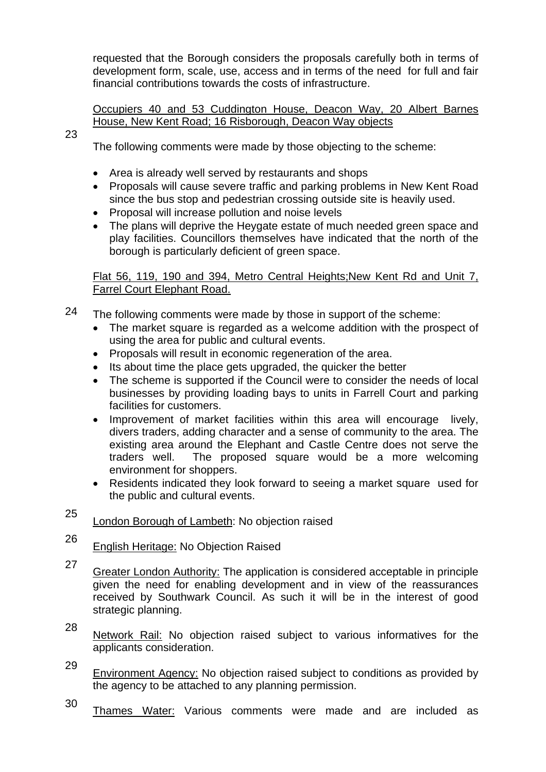requested that the Borough considers the proposals carefully both in terms of development form, scale, use, access and in terms of the need for full and fair financial contributions towards the costs of infrastructure.

Occupiers 40 and 53 Cuddington House, Deacon Way, 20 Albert Barnes House, New Kent Road; 16 Risborough, Deacon Way objects

23

The following comments were made by those objecting to the scheme:

- Area is already well served by restaurants and shops
- Proposals will cause severe traffic and parking problems in New Kent Road since the bus stop and pedestrian crossing outside site is heavily used.
- Proposal will increase pollution and noise levels
- The plans will deprive the Heygate estate of much needed green space and play facilities. Councillors themselves have indicated that the north of the borough is particularly deficient of green space.

Flat 56, 119, 190 and 394, Metro Central Heights;New Kent Rd and Unit 7, Farrel Court Elephant Road.

- 24 The following comments were made by those in support of the scheme:
	- The market square is regarded as a welcome addition with the prospect of using the area for public and cultural events.
	- Proposals will result in economic regeneration of the area.
	- Its about time the place gets upgraded, the quicker the better
	- The scheme is supported if the Council were to consider the needs of local businesses by providing loading bays to units in Farrell Court and parking facilities for customers.
	- Improvement of market facilities within this area will encourage lively, divers traders, adding character and a sense of community to the area. The existing area around the Elephant and Castle Centre does not serve the traders well. The proposed square would be a more welcoming environment for shoppers.
	- Residents indicated they look forward to seeing a market square used for the public and cultural events.
- 25 London Borough of Lambeth: No objection raised
- 26 English Heritage: No Objection Raised
- 27 Greater London Authority: The application is considered acceptable in principle given the need for enabling development and in view of the reassurances received by Southwark Council. As such it will be in the interest of good strategic planning.
- 28 Network Rail: No objection raised subject to various informatives for the applicants consideration.
- 29 Environment Agency: No objection raised subject to conditions as provided by the agency to be attached to any planning permission.
- 30 Thames Water: Various comments were made and are included as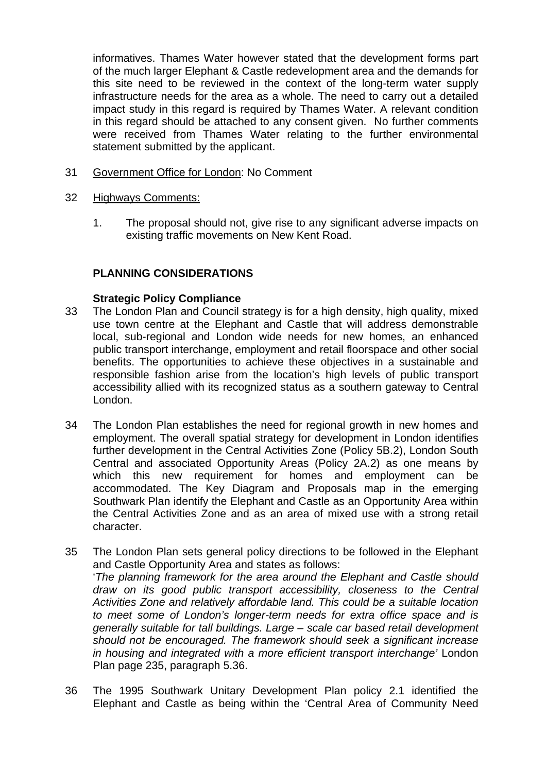informatives. Thames Water however stated that the development forms part of the much larger Elephant & Castle redevelopment area and the demands for this site need to be reviewed in the context of the long-term water supply infrastructure needs for the area as a whole. The need to carry out a detailed impact study in this regard is required by Thames Water. A relevant condition in this regard should be attached to any consent given. No further comments were received from Thames Water relating to the further environmental statement submitted by the applicant.

31 Government Office for London: No Comment

#### 32 Highways Comments:

1. The proposal should not, give rise to any significant adverse impacts on existing traffic movements on New Kent Road.

# **PLANNING CONSIDERATIONS**

#### **Strategic Policy Compliance**

- 33 The London Plan and Council strategy is for a high density, high quality, mixed use town centre at the Elephant and Castle that will address demonstrable local, sub-regional and London wide needs for new homes, an enhanced public transport interchange, employment and retail floorspace and other social benefits. The opportunities to achieve these objectives in a sustainable and responsible fashion arise from the location's high levels of public transport accessibility allied with its recognized status as a southern gateway to Central London.
- 34 The London Plan establishes the need for regional growth in new homes and employment. The overall spatial strategy for development in London identifies further development in the Central Activities Zone (Policy 5B.2), London South Central and associated Opportunity Areas (Policy 2A.2) as one means by which this new requirement for homes and employment can be accommodated. The Key Diagram and Proposals map in the emerging Southwark Plan identify the Elephant and Castle as an Opportunity Area within the Central Activities Zone and as an area of mixed use with a strong retail character.
- 35 The London Plan sets general policy directions to be followed in the Elephant and Castle Opportunity Area and states as follows: '*The planning framework for the area around the Elephant and Castle should draw on its good public transport accessibility, closeness to the Central Activities Zone and relatively affordable land. This could be a suitable location to meet some of London's longer-term needs for extra office space and is generally suitable for tall buildings. Large – scale car based retail development should not be encouraged. The framework should seek a significant increase in housing and integrated with a more efficient transport interchange'* London Plan page 235, paragraph 5.36.
- 36 The 1995 Southwark Unitary Development Plan policy 2.1 identified the Elephant and Castle as being within the 'Central Area of Community Need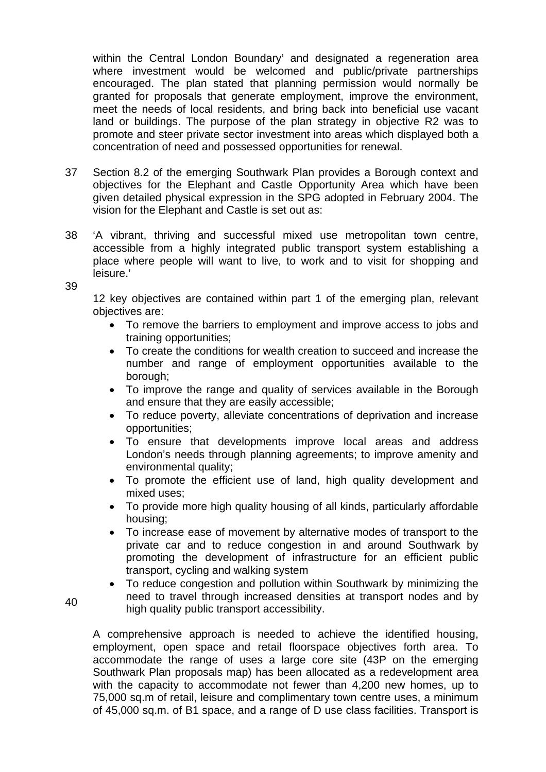within the Central London Boundary' and designated a regeneration area where investment would be welcomed and public/private partnerships encouraged. The plan stated that planning permission would normally be granted for proposals that generate employment, improve the environment, meet the needs of local residents, and bring back into beneficial use vacant land or buildings. The purpose of the plan strategy in objective R2 was to promote and steer private sector investment into areas which displayed both a concentration of need and possessed opportunities for renewal.

- 37 Section 8.2 of the emerging Southwark Plan provides a Borough context and objectives for the Elephant and Castle Opportunity Area which have been given detailed physical expression in the SPG adopted in February 2004. The vision for the Elephant and Castle is set out as:
- 38 'A vibrant, thriving and successful mixed use metropolitan town centre, accessible from a highly integrated public transport system establishing a place where people will want to live, to work and to visit for shopping and leisure.'
- 39

12 key objectives are contained within part 1 of the emerging plan, relevant objectives are:

- To remove the barriers to employment and improve access to jobs and training opportunities;
- To create the conditions for wealth creation to succeed and increase the number and range of employment opportunities available to the borough;
- To improve the range and quality of services available in the Borough and ensure that they are easily accessible;
- To reduce poverty, alleviate concentrations of deprivation and increase opportunities;
- To ensure that developments improve local areas and address London's needs through planning agreements; to improve amenity and environmental quality;
- To promote the efficient use of land, high quality development and mixed uses;
- To provide more high quality housing of all kinds, particularly affordable housing;
- To increase ease of movement by alternative modes of transport to the private car and to reduce congestion in and around Southwark by promoting the development of infrastructure for an efficient public transport, cycling and walking system
- To reduce congestion and pollution within Southwark by minimizing the need to travel through increased densities at transport nodes and by high quality public transport accessibility.

A comprehensive approach is needed to achieve the identified housing, employment, open space and retail floorspace objectives forth area. To accommodate the range of uses a large core site (43P on the emerging Southwark Plan proposals map) has been allocated as a redevelopment area with the capacity to accommodate not fewer than 4,200 new homes, up to 75,000 sq.m of retail, leisure and complimentary town centre uses, a minimum of 45,000 sq.m. of B1 space, and a range of D use class facilities. Transport is

40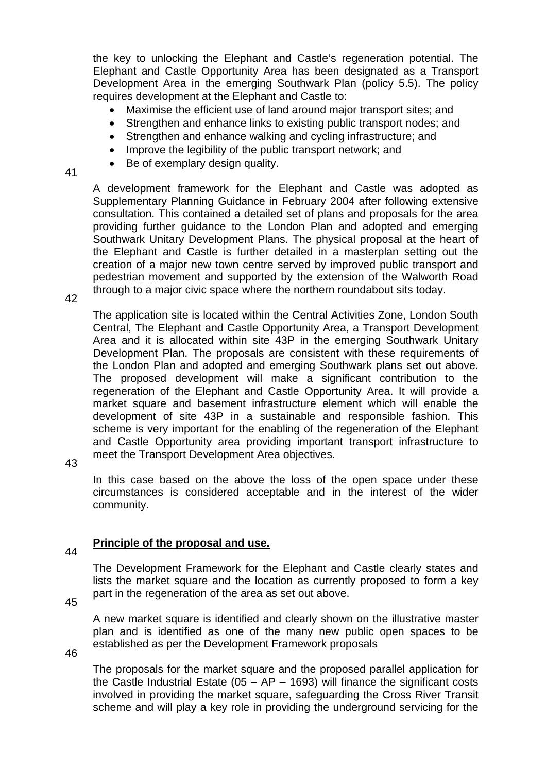the key to unlocking the Elephant and Castle's regeneration potential. The Elephant and Castle Opportunity Area has been designated as a Transport Development Area in the emerging Southwark Plan (policy 5.5). The policy requires development at the Elephant and Castle to:

- Maximise the efficient use of land around major transport sites; and
- Strengthen and enhance links to existing public transport nodes; and
- Strengthen and enhance walking and cycling infrastructure; and
- Improve the legibility of the public transport network; and
- Be of exemplary design quality.

41

A development framework for the Elephant and Castle was adopted as Supplementary Planning Guidance in February 2004 after following extensive consultation. This contained a detailed set of plans and proposals for the area providing further guidance to the London Plan and adopted and emerging Southwark Unitary Development Plans. The physical proposal at the heart of the Elephant and Castle is further detailed in a masterplan setting out the creation of a major new town centre served by improved public transport and pedestrian movement and supported by the extension of the Walworth Road through to a major civic space where the northern roundabout sits today.

42

The application site is located within the Central Activities Zone, London South Central, The Elephant and Castle Opportunity Area, a Transport Development Area and it is allocated within site 43P in the emerging Southwark Unitary Development Plan. The proposals are consistent with these requirements of the London Plan and adopted and emerging Southwark plans set out above. The proposed development will make a significant contribution to the regeneration of the Elephant and Castle Opportunity Area. It will provide a market square and basement infrastructure element which will enable the development of site 43P in a sustainable and responsible fashion. This scheme is very important for the enabling of the regeneration of the Elephant and Castle Opportunity area providing important transport infrastructure to meet the Transport Development Area objectives.

43

In this case based on the above the loss of the open space under these circumstances is considered acceptable and in the interest of the wider community.

#### 44 **Principle of the proposal and use.**

The Development Framework for the Elephant and Castle clearly states and lists the market square and the location as currently proposed to form a key part in the regeneration of the area as set out above.

45

A new market square is identified and clearly shown on the illustrative master plan and is identified as one of the many new public open spaces to be established as per the Development Framework proposals

46

The proposals for the market square and the proposed parallel application for the Castle Industrial Estate ( $05 - AP - 1693$ ) will finance the significant costs involved in providing the market square, safeguarding the Cross River Transit scheme and will play a key role in providing the underground servicing for the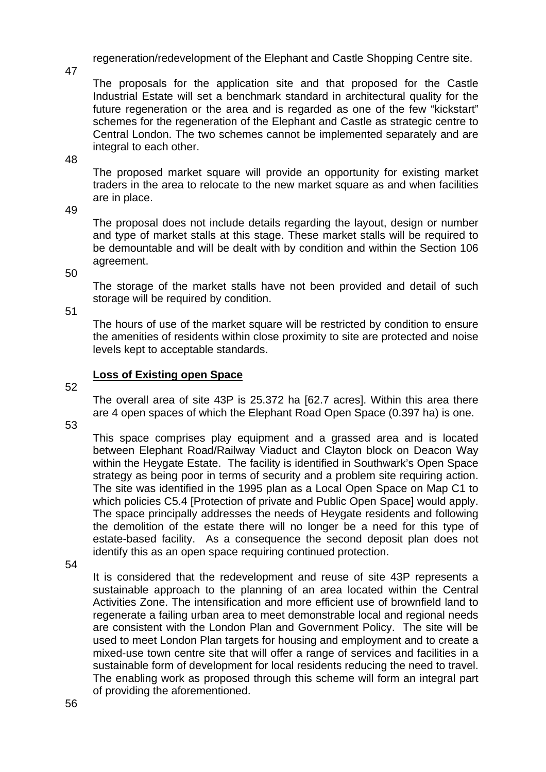regeneration/redevelopment of the Elephant and Castle Shopping Centre site.

47

The proposals for the application site and that proposed for the Castle Industrial Estate will set a benchmark standard in architectural quality for the future regeneration or the area and is regarded as one of the few "kickstart" schemes for the regeneration of the Elephant and Castle as strategic centre to Central London. The two schemes cannot be implemented separately and are integral to each other.

48

The proposed market square will provide an opportunity for existing market traders in the area to relocate to the new market square as and when facilities are in place.

49

The proposal does not include details regarding the layout, design or number and type of market stalls at this stage. These market stalls will be required to be demountable and will be dealt with by condition and within the Section 106 agreement.

50

The storage of the market stalls have not been provided and detail of such storage will be required by condition.

51

The hours of use of the market square will be restricted by condition to ensure the amenities of residents within close proximity to site are protected and noise levels kept to acceptable standards.

# **Loss of Existing open Space**

52

The overall area of site 43P is 25.372 ha [62.7 acres]. Within this area there are 4 open spaces of which the Elephant Road Open Space (0.397 ha) is one.

53

This space comprises play equipment and a grassed area and is located between Elephant Road/Railway Viaduct and Clayton block on Deacon Way within the Heygate Estate. The facility is identified in Southwark's Open Space strategy as being poor in terms of security and a problem site requiring action. The site was identified in the 1995 plan as a Local Open Space on Map C1 to which policies C5.4 [Protection of private and Public Open Space] would apply. The space principally addresses the needs of Heygate residents and following the demolition of the estate there will no longer be a need for this type of estate-based facility. As a consequence the second deposit plan does not identify this as an open space requiring continued protection.

54

It is considered that the redevelopment and reuse of site 43P represents a sustainable approach to the planning of an area located within the Central Activities Zone. The intensification and more efficient use of brownfield land to regenerate a failing urban area to meet demonstrable local and regional needs are consistent with the London Plan and Government Policy. The site will be used to meet London Plan targets for housing and employment and to create a mixed-use town centre site that will offer a range of services and facilities in a sustainable form of development for local residents reducing the need to travel. The enabling work as proposed through this scheme will form an integral part of providing the aforementioned.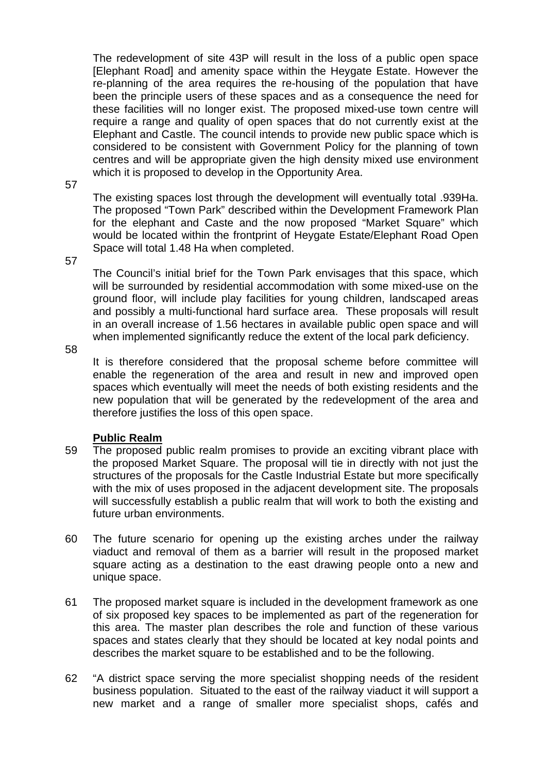The redevelopment of site 43P will result in the loss of a public open space [Elephant Road] and amenity space within the Heygate Estate. However the re-planning of the area requires the re-housing of the population that have been the principle users of these spaces and as a consequence the need for these facilities will no longer exist. The proposed mixed-use town centre will require a range and quality of open spaces that do not currently exist at the Elephant and Castle. The council intends to provide new public space which is considered to be consistent with Government Policy for the planning of town centres and will be appropriate given the high density mixed use environment which it is proposed to develop in the Opportunity Area.

57

The existing spaces lost through the development will eventually total .939Ha. The proposed "Town Park" described within the Development Framework Plan for the elephant and Caste and the now proposed "Market Square" which would be located within the frontprint of Heygate Estate/Elephant Road Open Space will total 1.48 Ha when completed.

57

The Council's initial brief for the Town Park envisages that this space, which will be surrounded by residential accommodation with some mixed-use on the ground floor, will include play facilities for young children, landscaped areas and possibly a multi-functional hard surface area. These proposals will result in an overall increase of 1.56 hectares in available public open space and will when implemented significantly reduce the extent of the local park deficiency.

58

It is therefore considered that the proposal scheme before committee will enable the regeneration of the area and result in new and improved open spaces which eventually will meet the needs of both existing residents and the new population that will be generated by the redevelopment of the area and therefore justifies the loss of this open space.

#### **Public Realm**

- 59 The proposed public realm promises to provide an exciting vibrant place with the proposed Market Square. The proposal will tie in directly with not just the structures of the proposals for the Castle Industrial Estate but more specifically with the mix of uses proposed in the adjacent development site. The proposals will successfully establish a public realm that will work to both the existing and future urban environments.
- 60 The future scenario for opening up the existing arches under the railway viaduct and removal of them as a barrier will result in the proposed market square acting as a destination to the east drawing people onto a new and unique space.
- 61 The proposed market square is included in the development framework as one of six proposed key spaces to be implemented as part of the regeneration for this area. The master plan describes the role and function of these various spaces and states clearly that they should be located at key nodal points and describes the market square to be established and to be the following.
- 62 "A district space serving the more specialist shopping needs of the resident business population. Situated to the east of the railway viaduct it will support a new market and a range of smaller more specialist shops, cafés and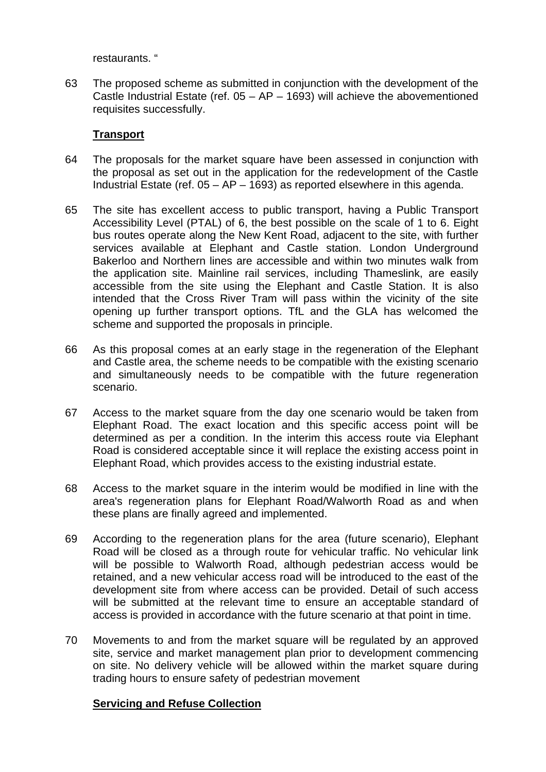restaurants. "

63 The proposed scheme as submitted in conjunction with the development of the Castle Industrial Estate (ref.  $05 - AP - 1693$ ) will achieve the abovementioned requisites successfully.

## **Transport**

- 64 The proposals for the market square have been assessed in conjunction with the proposal as set out in the application for the redevelopment of the Castle Industrial Estate (ref.  $05 - AP - 1693$ ) as reported elsewhere in this agenda.
- 65 The site has excellent access to public transport, having a Public Transport Accessibility Level (PTAL) of 6, the best possible on the scale of 1 to 6. Eight bus routes operate along the New Kent Road, adjacent to the site, with further services available at Elephant and Castle station. London Underground Bakerloo and Northern lines are accessible and within two minutes walk from the application site. Mainline rail services, including Thameslink, are easily accessible from the site using the Elephant and Castle Station. It is also intended that the Cross River Tram will pass within the vicinity of the site opening up further transport options. TfL and the GLA has welcomed the scheme and supported the proposals in principle.
- 66 As this proposal comes at an early stage in the regeneration of the Elephant and Castle area, the scheme needs to be compatible with the existing scenario and simultaneously needs to be compatible with the future regeneration scenario.
- 67 Access to the market square from the day one scenario would be taken from Elephant Road. The exact location and this specific access point will be determined as per a condition. In the interim this access route via Elephant Road is considered acceptable since it will replace the existing access point in Elephant Road, which provides access to the existing industrial estate.
- 68 Access to the market square in the interim would be modified in line with the area's regeneration plans for Elephant Road/Walworth Road as and when these plans are finally agreed and implemented.
- 69 According to the regeneration plans for the area (future scenario), Elephant Road will be closed as a through route for vehicular traffic. No vehicular link will be possible to Walworth Road, although pedestrian access would be retained, and a new vehicular access road will be introduced to the east of the development site from where access can be provided. Detail of such access will be submitted at the relevant time to ensure an acceptable standard of access is provided in accordance with the future scenario at that point in time.
- 70 Movements to and from the market square will be regulated by an approved site, service and market management plan prior to development commencing on site. No delivery vehicle will be allowed within the market square during trading hours to ensure safety of pedestrian movement

#### **Servicing and Refuse Collection**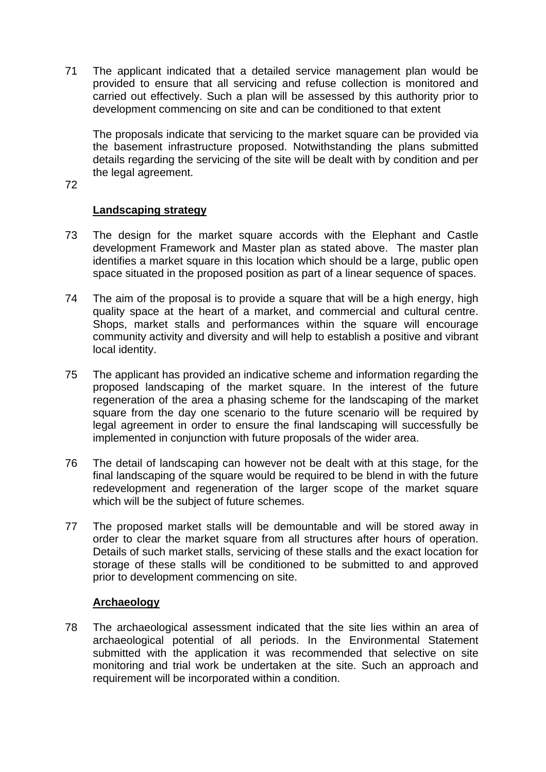71 The applicant indicated that a detailed service management plan would be provided to ensure that all servicing and refuse collection is monitored and carried out effectively. Such a plan will be assessed by this authority prior to development commencing on site and can be conditioned to that extent

The proposals indicate that servicing to the market square can be provided via the basement infrastructure proposed. Notwithstanding the plans submitted details regarding the servicing of the site will be dealt with by condition and per the legal agreement.

72

#### **Landscaping strategy**

- 73 The design for the market square accords with the Elephant and Castle development Framework and Master plan as stated above. The master plan identifies a market square in this location which should be a large, public open space situated in the proposed position as part of a linear sequence of spaces.
- 74 The aim of the proposal is to provide a square that will be a high energy, high quality space at the heart of a market, and commercial and cultural centre. Shops, market stalls and performances within the square will encourage community activity and diversity and will help to establish a positive and vibrant local identity.
- 75 The applicant has provided an indicative scheme and information regarding the proposed landscaping of the market square. In the interest of the future regeneration of the area a phasing scheme for the landscaping of the market square from the day one scenario to the future scenario will be required by legal agreement in order to ensure the final landscaping will successfully be implemented in conjunction with future proposals of the wider area.
- 76 The detail of landscaping can however not be dealt with at this stage, for the final landscaping of the square would be required to be blend in with the future redevelopment and regeneration of the larger scope of the market square which will be the subject of future schemes.
- 77 The proposed market stalls will be demountable and will be stored away in order to clear the market square from all structures after hours of operation. Details of such market stalls, servicing of these stalls and the exact location for storage of these stalls will be conditioned to be submitted to and approved prior to development commencing on site.

#### **Archaeology**

78 The archaeological assessment indicated that the site lies within an area of archaeological potential of all periods. In the Environmental Statement submitted with the application it was recommended that selective on site monitoring and trial work be undertaken at the site. Such an approach and requirement will be incorporated within a condition.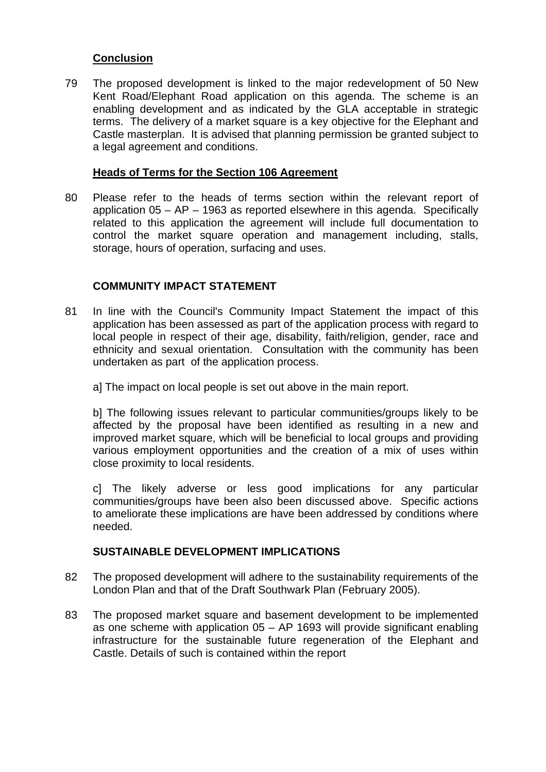## **Conclusion**

79 The proposed development is linked to the major redevelopment of 50 New Kent Road/Elephant Road application on this agenda. The scheme is an enabling development and as indicated by the GLA acceptable in strategic terms. The delivery of a market square is a key objective for the Elephant and Castle masterplan. It is advised that planning permission be granted subject to a legal agreement and conditions.

## **Heads of Terms for the Section 106 Agreement**

80 Please refer to the heads of terms section within the relevant report of application 05 – AP – 1963 as reported elsewhere in this agenda. Specifically related to this application the agreement will include full documentation to control the market square operation and management including, stalls, storage, hours of operation, surfacing and uses.

# **COMMUNITY IMPACT STATEMENT**

- 81 In line with the Council's Community Impact Statement the impact of this application has been assessed as part of the application process with regard to local people in respect of their age, disability, faith/religion, gender, race and ethnicity and sexual orientation. Consultation with the community has been undertaken as part of the application process.
	- a] The impact on local people is set out above in the main report.

b] The following issues relevant to particular communities/groups likely to be affected by the proposal have been identified as resulting in a new and improved market square, which will be beneficial to local groups and providing various employment opportunities and the creation of a mix of uses within close proximity to local residents.

c] The likely adverse or less good implications for any particular communities/groups have been also been discussed above. Specific actions to ameliorate these implications are have been addressed by conditions where needed.

#### **SUSTAINABLE DEVELOPMENT IMPLICATIONS**

- 82 The proposed development will adhere to the sustainability requirements of the London Plan and that of the Draft Southwark Plan (February 2005).
- 83 The proposed market square and basement development to be implemented as one scheme with application 05 – AP 1693 will provide significant enabling infrastructure for the sustainable future regeneration of the Elephant and Castle. Details of such is contained within the report